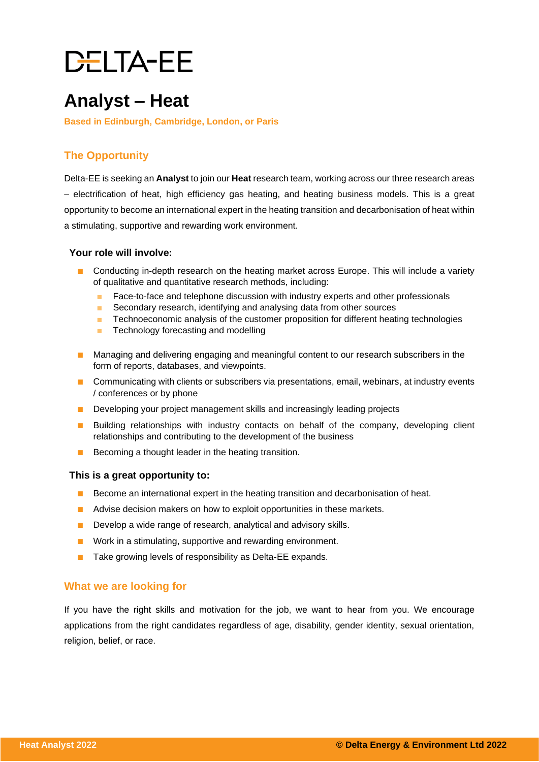# **DELTA-EE**

### **Analyst – Heat**

**Based in Edinburgh, Cambridge, London, or Paris**

### **The Opportunity**

Delta-EE is seeking an **Analyst** to join our **Heat** research team, working across our three research areas – electrification of heat, high efficiency gas heating, and heating business models. This is a great opportunity to become an international expert in the heating transition and decarbonisation of heat within a stimulating, supportive and rewarding work environment.

#### **Your role will involve:**

- Conducting in-depth research on the heating market across Europe. This will include a variety of qualitative and quantitative research methods, including:
	- Face-to-face and telephone discussion with industry experts and other professionals
	- Secondary research, identifying and analysing data from other sources
	- Technoeconomic analysis of the customer proposition for different heating technologies
	- Technology forecasting and modelling
- Managing and delivering engaging and meaningful content to our research subscribers in the form of reports, databases, and viewpoints.
- Communicating with clients or subscribers via presentations, email, webinars, at industry events / conferences or by phone
- Developing your project management skills and increasingly leading projects
- Building relationships with industry contacts on behalf of the company, developing client relationships and contributing to the development of the business
- Becoming a thought leader in the heating transition.

#### **This is a great opportunity to:**

- Become an international expert in the heating transition and decarbonisation of heat.
- Advise decision makers on how to exploit opportunities in these markets.
- Develop a wide range of research, analytical and advisory skills.
- Work in a stimulating, supportive and rewarding environment.
- Take growing levels of responsibility as Delta-EE expands.

#### **What we are looking for**

If you have the right skills and motivation for the job, we want to hear from you. We encourage applications from the right candidates regardless of age, disability, gender identity, sexual orientation, religion, belief, or race.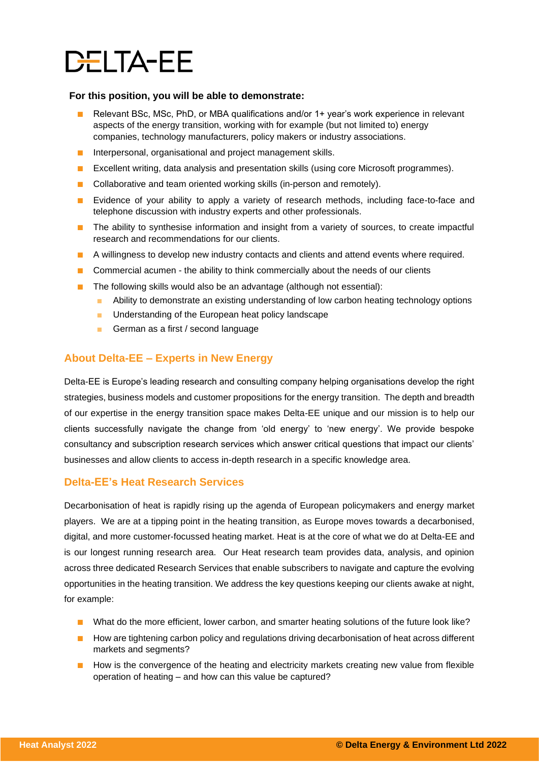### **DELTA-EE**

#### **For this position, you will be able to demonstrate:**

- Relevant BSc, MSc, PhD, or MBA qualifications and/or 1+ year's work experience in relevant aspects of the energy transition, working with for example (but not limited to) energy companies, technology manufacturers, policy makers or industry associations.
- Interpersonal, organisational and project management skills.
- Excellent writing, data analysis and presentation skills (using core Microsoft programmes).
- Collaborative and team oriented working skills (in-person and remotely).
- Evidence of your ability to apply a variety of research methods, including face-to-face and telephone discussion with industry experts and other professionals.
- The ability to synthesise information and insight from a variety of sources, to create impactful research and recommendations for our clients.
- A willingness to develop new industry contacts and clients and attend events where required.
- Commercial acumen the ability to think commercially about the needs of our clients
- The following skills would also be an advantage (although not essential):
	- Ability to demonstrate an existing understanding of low carbon heating technology options
	- Understanding of the European heat policy landscape
	- German as a first / second language

#### **About Delta-EE – Experts in New Energy**

Delta-EE is Europe's leading research and consulting company helping organisations develop the right strategies, business models and customer propositions for the energy transition. The depth and breadth of our expertise in the energy transition space makes Delta-EE unique and our mission is to help our clients successfully navigate the change from 'old energy' to 'new energy'. We provide bespoke consultancy and subscription research services which answer critical questions that impact our clients' businesses and allow clients to access in-depth research in a specific knowledge area.

#### **Delta-EE's Heat Research Services**

Decarbonisation of heat is rapidly rising up the agenda of European policymakers and energy market players. We are at a tipping point in the heating transition, as Europe moves towards a decarbonised, digital, and more customer-focussed heating market. Heat is at the core of what we do at Delta-EE and is our longest running research area. Our Heat research team provides data, analysis, and opinion across three dedicated Research Services that enable subscribers to navigate and capture the evolving opportunities in the heating transition. We address the key questions keeping our clients awake at night, for example:

- What do the more efficient, lower carbon, and smarter heating solutions of the future look like?
- How are tightening carbon policy and regulations driving decarbonisation of heat across different markets and segments?
- How is the convergence of the heating and electricity markets creating new value from flexible operation of heating – and how can this value be captured?